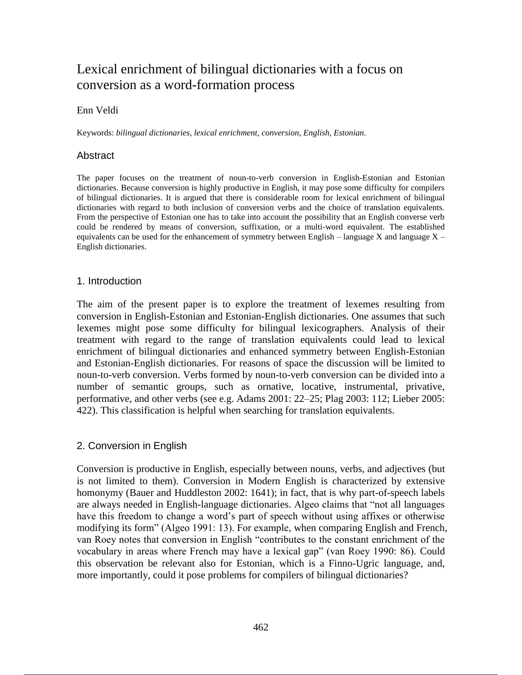# Lexical enrichment of bilingual dictionaries with a focus on conversion as a word-formation process

## Enn Veldi

Keywords: *bilingual dictionaries*, *lexical enrichment*, *conversion*, *English*, *Estonian*.

### **Abstract**

The paper focuses on the treatment of noun-to-verb conversion in English-Estonian and Estonian dictionaries. Because conversion is highly productive in English, it may pose some difficulty for compilers of bilingual dictionaries. It is argued that there is considerable room for lexical enrichment of bilingual dictionaries with regard to both inclusion of conversion verbs and the choice of translation equivalents. From the perspective of Estonian one has to take into account the possibility that an English converse verb could be rendered by means of conversion, suffixation, or a multi-word equivalent. The established equivalents can be used for the enhancement of symmetry between English – language X and language  $X -$ English dictionaries.

## 1. Introduction

The aim of the present paper is to explore the treatment of lexemes resulting from conversion in English-Estonian and Estonian-English dictionaries. One assumes that such lexemes might pose some difficulty for bilingual lexicographers. Analysis of their treatment with regard to the range of translation equivalents could lead to lexical enrichment of bilingual dictionaries and enhanced symmetry between English-Estonian and Estonian-English dictionaries. For reasons of space the discussion will be limited to noun-to-verb conversion. Verbs formed by noun-to-verb conversion can be divided into a number of semantic groups, such as ornative, locative, instrumental, privative, performative, and other verbs (see e.g. Adams 2001: 22–25; Plag 2003: 112; Lieber 2005: 422). This classification is helpful when searching for translation equivalents.

### 2. Conversion in English

Conversion is productive in English, especially between nouns, verbs, and adjectives (but is not limited to them). Conversion in Modern English is characterized by extensive homonymy (Bauer and Huddleston 2002: 1641); in fact, that is why part-of-speech labels are always needed in English-language dictionaries. Algeo claims that "not all languages have this freedom to change a word's part of speech without using affixes or otherwise modifying its form" (Algeo 1991: 13). For example, when comparing English and French, van Roey notes that conversion in English "contributes to the constant enrichment of the vocabulary in areas where French may have a lexical gap" (van Roey 1990: 86). Could this observation be relevant also for Estonian, which is a Finno-Ugric language, and, more importantly, could it pose problems for compilers of bilingual dictionaries?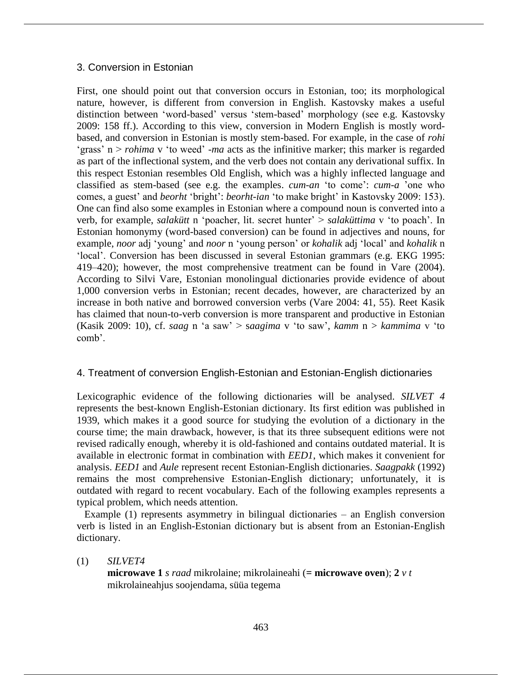## 3. Conversion in Estonian

First, one should point out that conversion occurs in Estonian, too; its morphological nature, however, is different from conversion in English. Kastovsky makes a useful distinction between 'word-based' versus 'stem-based' morphology (see e.g. Kastovsky 2009: 158 ff.). According to this view, conversion in Modern English is mostly wordbased, and conversion in Estonian is mostly stem-based. For example, in the case of *rohi* 'grass' n > *rohima* v 'to weed' *-ma* acts as the infinitive marker; this marker is regarded as part of the inflectional system, and the verb does not contain any derivational suffix. In this respect Estonian resembles Old English, which was a highly inflected language and classified as stem-based (see e.g. the examples. *cum-an* 'to come': *cum-a* 'one who comes, a guest' and *beorht* 'bright': *beorht-ian* 'to make bright' in Kastovsky 2009: 153). One can find also some examples in Estonian where a compound noun is converted into a verb, for example, *salakütt* n 'poacher, lit. secret hunter' > *salaküttima* v 'to poach'. In Estonian homonymy (word-based conversion) can be found in adjectives and nouns, for example, *noor* adj 'young' and *noor* n 'young person' or *kohalik* adj 'local' and *kohalik* n 'local'. Conversion has been discussed in several Estonian grammars (e.g. EKG 1995: 419–420); however, the most comprehensive treatment can be found in Vare (2004). According to Silvi Vare, Estonian monolingual dictionaries provide evidence of about 1,000 conversion verbs in Estonian; recent decades, however, are characterized by an increase in both native and borrowed conversion verbs (Vare 2004: 41, 55). Reet Kasik has claimed that noun-to-verb conversion is more transparent and productive in Estonian (Kasik 2009: 10), cf. *saag* n 'a saw' > s*aagima* v 'to saw', *kamm* n > *kammima* v 'to comb'.

# 4. Treatment of conversion English-Estonian and Estonian-English dictionaries

Lexicographic evidence of the following dictionaries will be analysed. *SILVET 4* represents the best-known English-Estonian dictionary. Its first edition was published in 1939, which makes it a good source for studying the evolution of a dictionary in the course time; the main drawback, however, is that its three subsequent editions were not revised radically enough, whereby it is old-fashioned and contains outdated material. It is available in electronic format in combination with *EED1*, which makes it convenient for analysis. *EED1* and *Aule* represent recent Estonian-English dictionaries. *Saagpakk* (1992) remains the most comprehensive Estonian-English dictionary; unfortunately, it is outdated with regard to recent vocabulary. Each of the following examples represents a typical problem, which needs attention.

Example (1) represents asymmetry in bilingual dictionaries – an English conversion verb is listed in an English-Estonian dictionary but is absent from an Estonian-English dictionary.

(1) *SILVET4*

**microwave 1** *s raad* mikrolaine; mikrolaineahi (**= microwave oven**); **2** *v t* mikrolaineahjus soojendama, süüa tegema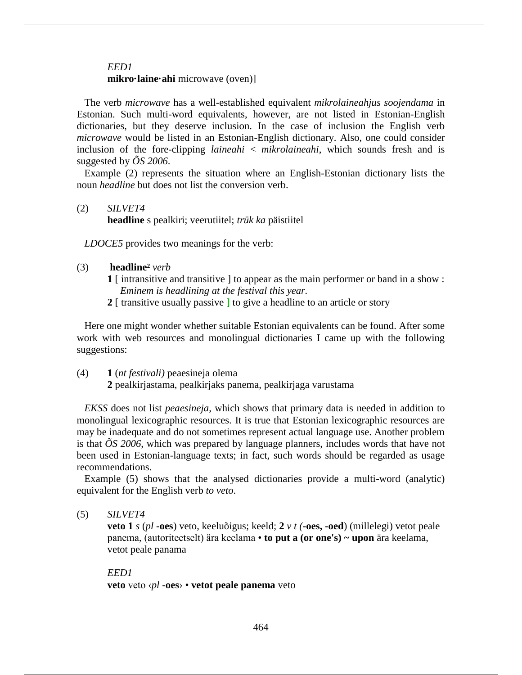## *EED1*  **mikro·laine·ahi** microwave (oven)]

The verb *microwave* has a well-established equivalent *mikrolaineahjus soojendama* in Estonian. Such multi-word equivalents, however, are not listed in Estonian-English dictionaries, but they deserve inclusion. In the case of inclusion the English verb *microwave* would be listed in an Estonian-English dictionary. Also, one could consider inclusion of the fore-clipping *laineahi* < *mikrolaineahi*, which sounds fresh and is suggested by *ÕS 2006*.

Example (2) represents the situation where an English-Estonian dictionary lists the noun *headline* but does not list the conversion verb.

(2) *SILVET4*

**headline** s pealkiri; veerutiitel; *trük ka* päistiitel

*LDOCE5* provides two meanings for the verb:

- (3) **headline²** *verb* 
	- **1** [ intransitive and transitive ] to appear as the main performer or band in a show :  *Eminem is headlining at the festival this year.*
	- **2** [ transitive usually passive ] to give a headline to an article or story

Here one might wonder whether suitable Estonian equivalents can be found. After some work with web resources and monolingual dictionaries I came up with the following suggestions:

### (4) **1** (*nt festivali)* peaesineja olema

**2** pealkirjastama, pealkirjaks panema, pealkirjaga varustama

*EKSS* does not list *peaesineja*, which shows that primary data is needed in addition to monolingual lexicographic resources. It is true that Estonian lexicographic resources are may be inadequate and do not sometimes represent actual language use. Another problem is that  $\tilde{O}S$  2006, which was prepared by language planners, includes words that have not been used in Estonian-language texts; in fact, such words should be regarded as usage recommendations.

Example (5) shows that the analysed dictionaries provide a multi-word (analytic) equivalent for the English verb *to veto*.

(5) *SILVET4*

**veto 1** *s* (*pl* **-oes**) veto, keeluõigus; keeld; **2** *v t (***-oes, -oed**) (millelegi) vetot peale panema, (autoriteetselt) ära keelama • **to put a (or one's) ~ upon** ära keelama, vetot peale panama

# *EED1* **veto** veto ‹*pl* **-oes**› • **vetot peale panema** veto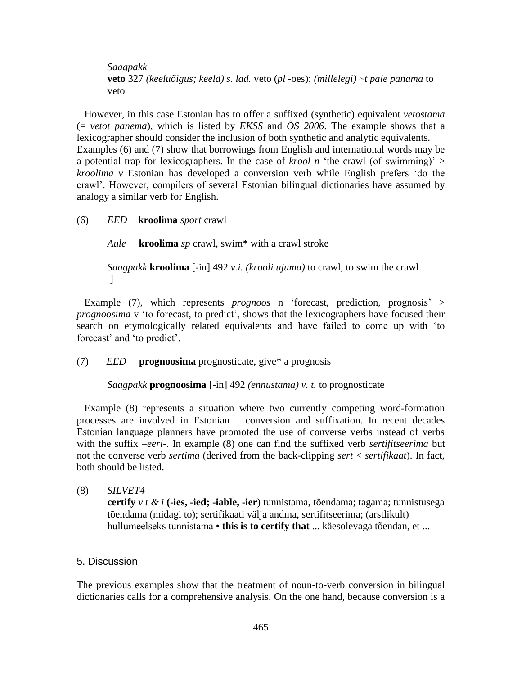*Saagpakk* **veto** 327 *(keeluõigus; keeld) s. lad.* veto (*pl* -oes); *(millelegi) ~t pale panama* to veto

However, in this case Estonian has to offer a suffixed (synthetic) equivalent *vetostama*  (= *vetot panema*)*,* which is listed by *EKSS* and *ÕS 2006*. The example shows that a lexicographer should consider the inclusion of both synthetic and analytic equivalents. Examples (6) and (7) show that borrowings from English and international words may be a potential trap for lexicographers. In the case of *krool n* 'the crawl (of swimming)'  $>$ *kroolima v* Estonian has developed a conversion verb while English prefers 'do the crawl'. However, compilers of several Estonian bilingual dictionaries have assumed by analogy a similar verb for English.

(6) *EED* **kroolima** *sport* crawl

*Aule* **kroolima** *sp* crawl, swim\* with a crawl stroke

*Saagpakk* **kroolima** [-in] 492 *v.i. (krooli ujuma)* to crawl, to swim the crawl ]

Example (7), which represents *prognoos* n 'forecast, prediction, prognosis' > *prognoosima* v 'to forecast, to predict', shows that the lexicographers have focused their search on etymologically related equivalents and have failed to come up with 'to forecast' and 'to predict'.

(7) *EED* **prognoosima** prognosticate, give\* a prognosis

*Saagpakk* **prognoosima** [-in] 492 *(ennustama) v. t.* to prognosticate

Example (8) represents a situation where two currently competing word-formation processes are involved in Estonian – conversion and suffixation. In recent decades Estonian language planners have promoted the use of converse verbs instead of verbs with the suffix *–eeri-*. In example (8) one can find the suffixed verb *sertifitseerima* but not the converse verb *sertima* (derived from the back-clipping *sert* < *sertifikaat*). In fact, both should be listed.

(8) *SILVET4* **certify** *v t & i* **(-ies, -ied; -iable, -ier**) tunnistama, tõendama; tagama; tunnistusega tõendama (midagi to); sertifikaati välja andma, sertifitseerima; (arstlikult) hullumeelseks tunnistama • **this is to certify that** ... käesolevaga tõendan, et ...

# 5. Discussion

The previous examples show that the treatment of noun-to-verb conversion in bilingual dictionaries calls for a comprehensive analysis. On the one hand, because conversion is a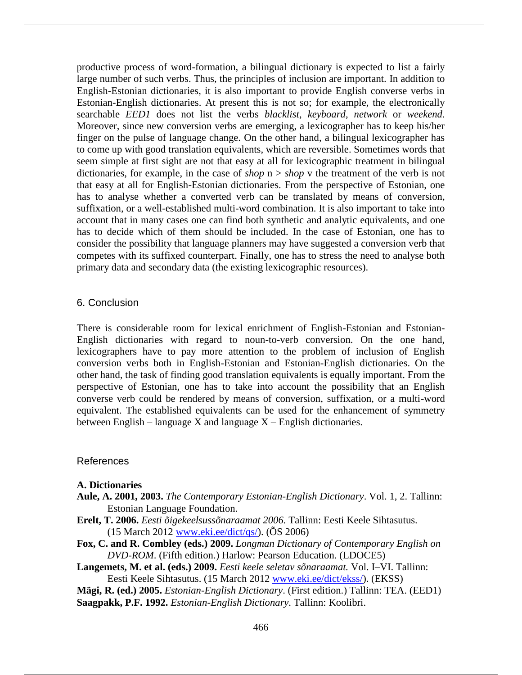productive process of word-formation, a bilingual dictionary is expected to list a fairly large number of such verbs. Thus, the principles of inclusion are important. In addition to English-Estonian dictionaries, it is also important to provide English converse verbs in Estonian-English dictionaries. At present this is not so; for example, the electronically searchable *EED1* does not list the verbs *blacklist*, *keyboard*, *network* or *weekend.* Moreover, since new conversion verbs are emerging, a lexicographer has to keep his/her finger on the pulse of language change. On the other hand, a bilingual lexicographer has to come up with good translation equivalents, which are reversible. Sometimes words that seem simple at first sight are not that easy at all for lexicographic treatment in bilingual dictionaries, for example, in the case of *shop*  $n > shop$  v the treatment of the verb is not that easy at all for English-Estonian dictionaries. From the perspective of Estonian, one has to analyse whether a converted verb can be translated by means of conversion, suffixation, or a well-established multi-word combination. It is also important to take into account that in many cases one can find both synthetic and analytic equivalents, and one has to decide which of them should be included. In the case of Estonian, one has to consider the possibility that language planners may have suggested a conversion verb that competes with its suffixed counterpart. Finally, one has to stress the need to analyse both primary data and secondary data (the existing lexicographic resources).

#### 6. Conclusion

There is considerable room for lexical enrichment of English-Estonian and Estonian-English dictionaries with regard to noun-to-verb conversion. On the one hand, lexicographers have to pay more attention to the problem of inclusion of English conversion verbs both in English-Estonian and Estonian-English dictionaries. On the other hand, the task of finding good translation equivalents is equally important. From the perspective of Estonian, one has to take into account the possibility that an English converse verb could be rendered by means of conversion, suffixation, or a multi-word equivalent. The established equivalents can be used for the enhancement of symmetry between English – language X and language  $X$  – English dictionaries.

#### References

#### **A. Dictionaries**

- **Aule, A. 2001, 2003.** *The Contemporary Estonian-English Dictionary*. Vol. 1, 2. Tallinn: Estonian Language Foundation.
- **Erelt, T. 2006.** *Eesti õigekeelsussõnaraamat 2006.* Tallinn: Eesti Keele Sihtasutus.  $(15 \text{ March } 2012 \text{ www.eki.ee/dict/gs/}).$   $(OS 2006)$
- **Fox, C. and R. Combley (eds.) 2009.** *Longman Dictionary of Contemporary English on DVD-ROM*. (Fifth edition.) Harlow: Pearson Education. (LDOCE5)
- **Langemets, M. et al. (eds.) 2009.** *Eesti keele seletav sõnaraamat.* Vol. I–VI. Tallinn: Eesti Keele Sihtasutus. (15 March 2012 www.eki.ee/dict/ekss/). (EKSS)
- **Mägi, R. (ed.) 2005.** *Estonian-English Dictionary*. (First edition.) Tallinn: TEA. (EED1)

**Saagpakk, P.F. 1992.** *Estonian-English Dictionary*. Tallinn: Koolibri.